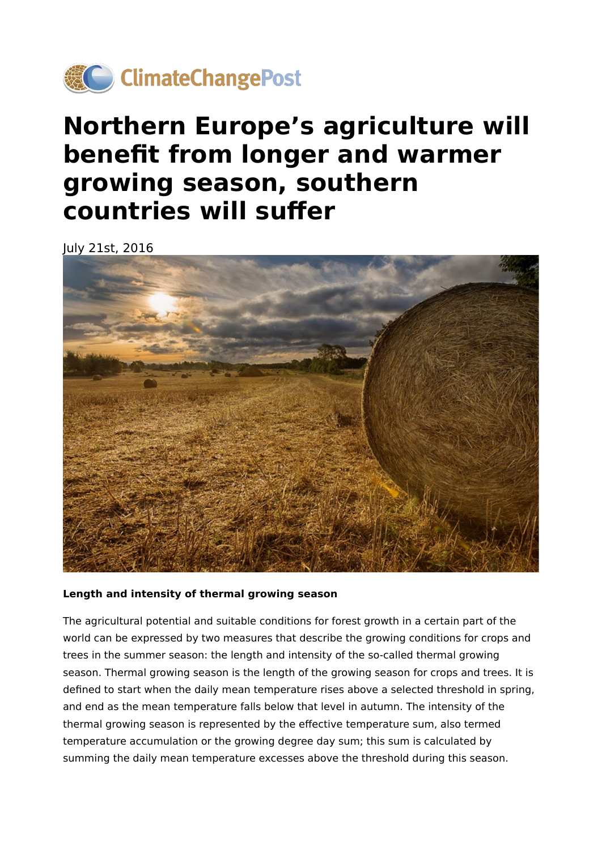

# **Northern Europe's agriculture will benefit from longer and warmer growing season, southern countries will suffer**

July 21st, 2016



#### **Length and intensity of thermal growing season**

The agricultural potential and suitable conditions for forest growth in a certain part of the world can be expressed by two measures that describe the growing conditions for crops and trees in the summer season: the length and intensity of the so-called thermal growing season. Thermal growing season is the length of the growing season for crops and trees. It is defined to start when the daily mean temperature rises above a selected threshold in spring, and end as the mean temperature falls below that level in autumn. The intensity of the thermal growing season is represented by the effective temperature sum, also termed temperature accumulation or the growing degree day sum; this sum is calculated by summing the daily mean temperature excesses above the threshold during this season.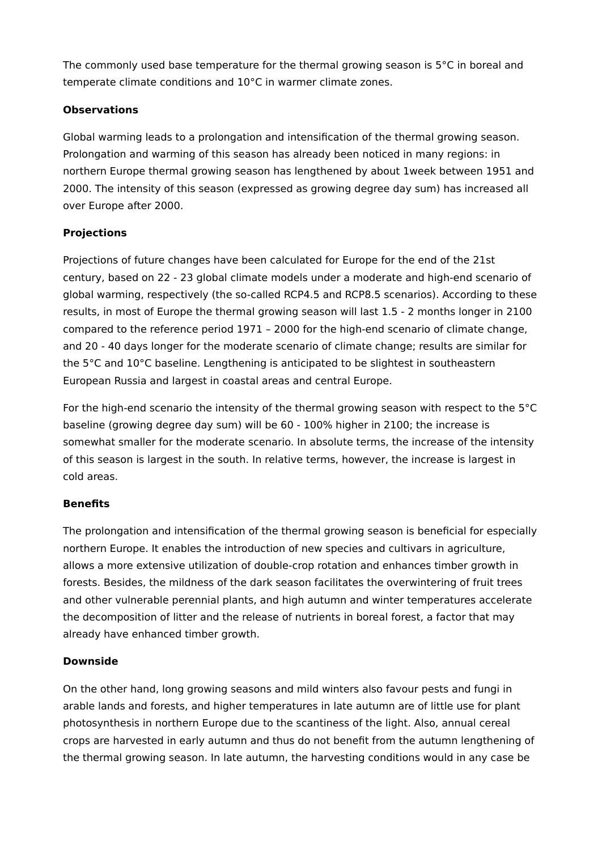The commonly used base temperature for the thermal growing season is  $5^{\circ}$ C in boreal and temperate climate conditions and 10°C in warmer climate zones.

#### **Observations**

Global warming leads to a prolongation and intensification of the thermal growing season. Prolongation and warming of this season has already been noticed in many regions: in northern Europe thermal growing season has lengthened by about 1week between 1951 and 2000. The intensity of this season (expressed as growing degree day sum) has increased all over Europe after 2000.

# **Projections**

Projections of future changes have been calculated for Europe for the end of the 21st century, based on 22 - 23 global climate models under a moderate and high-end scenario of global warming, respectively (the so-called RCP4.5 and RCP8.5 scenarios). According to these results, in most of Europe the thermal growing season will last 1.5 - 2 months longer in 2100 compared to the reference period 1971 – 2000 for the high-end scenario of climate change, and 20 - 40 days longer for the moderate scenario of climate change; results are similar for the 5°C and 10°C baseline. Lengthening is anticipated to be slightest in southeastern European Russia and largest in coastal areas and central Europe.

For the high-end scenario the intensity of the thermal growing season with respect to the 5°C baseline (growing degree day sum) will be 60 - 100% higher in 2100; the increase is somewhat smaller for the moderate scenario. In absolute terms, the increase of the intensity of this season is largest in the south. In relative terms, however, the increase is largest in cold areas.

# **Benefits**

The prolongation and intensification of the thermal growing season is beneficial for especially northern Europe. It enables the introduction of new species and cultivars in agriculture, allows a more extensive utilization of double-crop rotation and enhances timber growth in forests. Besides, the mildness of the dark season facilitates the overwintering of fruit trees and other vulnerable perennial plants, and high autumn and winter temperatures accelerate the decomposition of litter and the release of nutrients in boreal forest, a factor that may already have enhanced timber growth.

# **Downside**

On the other hand, long growing seasons and mild winters also favour pests and fungi in arable lands and forests, and higher temperatures in late autumn are of little use for plant photosynthesis in northern Europe due to the scantiness of the light. Also, annual cereal crops are harvested in early autumn and thus do not benefit from the autumn lengthening of the thermal growing season. In late autumn, the harvesting conditions would in any case be